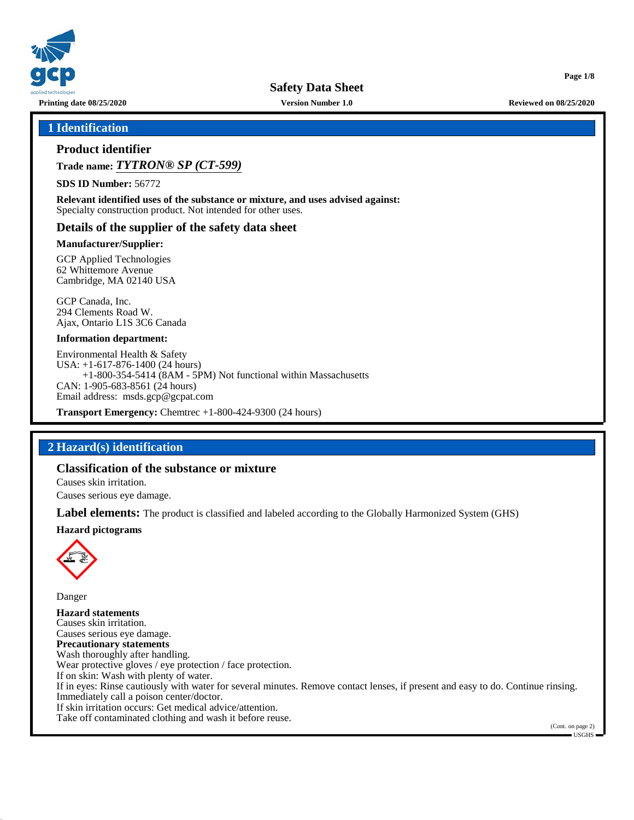

**Printing date 08/25/2020 Version Number 1.0 Reviewed on 08/25/2020**

**Page 1/8**

### **1 Identification**

### **Product identifier**

**Trade name:** *TYTRON® SP (CT-599)*

**SDS ID Number:** 56772

**Relevant identified uses of the substance or mixture, and uses advised against:** Specialty construction product. Not intended for other uses.

### **Details of the supplier of the safety data sheet**

#### **Manufacturer/Supplier:**

GCP Applied Technologies 62 Whittemore Avenue Cambridge, MA 02140 USA

GCP Canada, Inc. 294 Clements Road W. Ajax, Ontario L1S 3C6 Canada

#### **Information department:**

Environmental Health & Safety USA: +1-617-876-1400 (24 hours) +1-800-354-5414 (8AM - 5PM) Not functional within Massachusetts CAN: 1-905-683-8561 (24 hours) Email address: msds.gcp@gcpat.com

**Transport Emergency:** Chemtrec +1-800-424-9300 (24 hours)

### **2 Hazard(s) identification**

# **Classification of the substance or mixture**

Causes skin irritation. Causes serious eye damage.

**Label elements:** The product is classified and labeled according to the Globally Harmonized System (GHS)

**Hazard pictograms**



Danger **Hazard statements** Causes skin irritation. Causes serious eye damage. **Precautionary statements** Wash thoroughly after handling. Wear protective gloves / eye protection / face protection. If on skin: Wash with plenty of water. If in eyes: Rinse cautiously with water for several minutes. Remove contact lenses, if present and easy to do. Continue rinsing. Immediately call a poison center/doctor. If skin irritation occurs: Get medical advice/attention. Take off contaminated clothing and wash it before reuse.

(Cont. on page 2) USGHS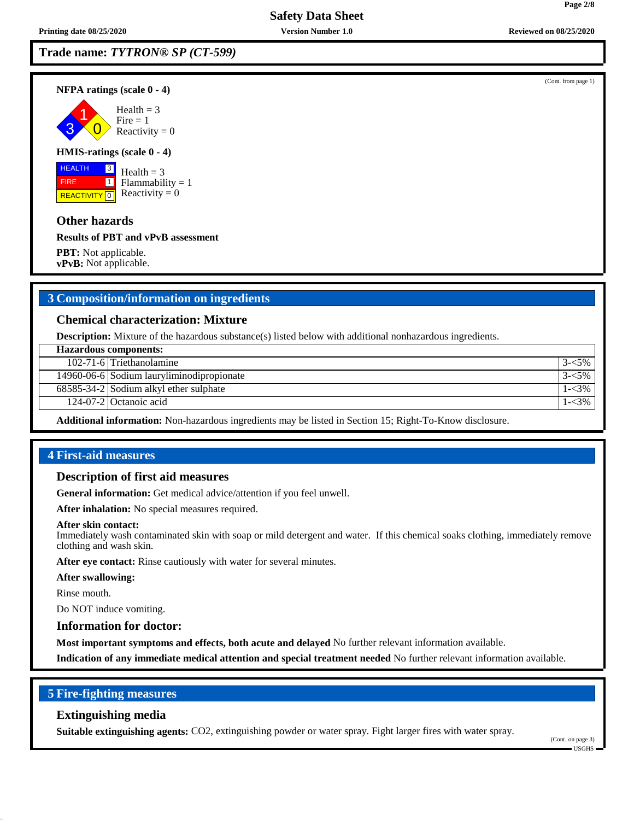**NFPA ratings (scale 0 - 4)**

3 1  $\overline{0}$ Health  $= 3$  $Fire = 1$ Reactivity  $= 0$ 

#### **HMIS-ratings (scale 0 - 4)**

 HEALTH FIRE **REACTIVITY** 0 3  $\boxed{1}$ 

Health  $= 3$  $Flammability = 1$ Reactivity  $= 0$ 

### **Other hazards**

**Results of PBT and vPvB assessment**

**PBT:** Not applicable. **vPvB:** Not applicable.

### **3 Composition/information on ingredients**

#### **Chemical characterization: Mixture**

**Description:** Mixture of the hazardous substance(s) listed below with additional nonhazardous ingredients.

| <b>Hazardous components:</b>              |  |  |  |
|-------------------------------------------|--|--|--|
| 102-71-6 Triethanolamine                  |  |  |  |
| 14960-06-6 Sodium lauryliminodipropionate |  |  |  |
| $68585-34-2$ Sodium alkyl ether sulphate  |  |  |  |
| 124-07-2 Octanoic acid                    |  |  |  |

**Additional information:** Non-hazardous ingredients may be listed in Section 15; Right-To-Know disclosure.

# **4 First-aid measures**

### **Description of first aid measures**

**General information:** Get medical advice/attention if you feel unwell.

**After inhalation:** No special measures required.

#### **After skin contact:**

Immediately wash contaminated skin with soap or mild detergent and water. If this chemical soaks clothing, immediately remove clothing and wash skin.

**After eye contact:** Rinse cautiously with water for several minutes.

#### **After swallowing:**

Rinse mouth.

Do NOT induce vomiting.

### **Information for doctor:**

**Most important symptoms and effects, both acute and delayed** No further relevant information available.

**Indication of any immediate medical attention and special treatment needed** No further relevant information available.

### **5 Fire-fighting measures**

### **Extinguishing media**

**Suitable extinguishing agents:** CO2, extinguishing powder or water spray. Fight larger fires with water spray.

(Cont. on page 3)

(Cont. from page 1)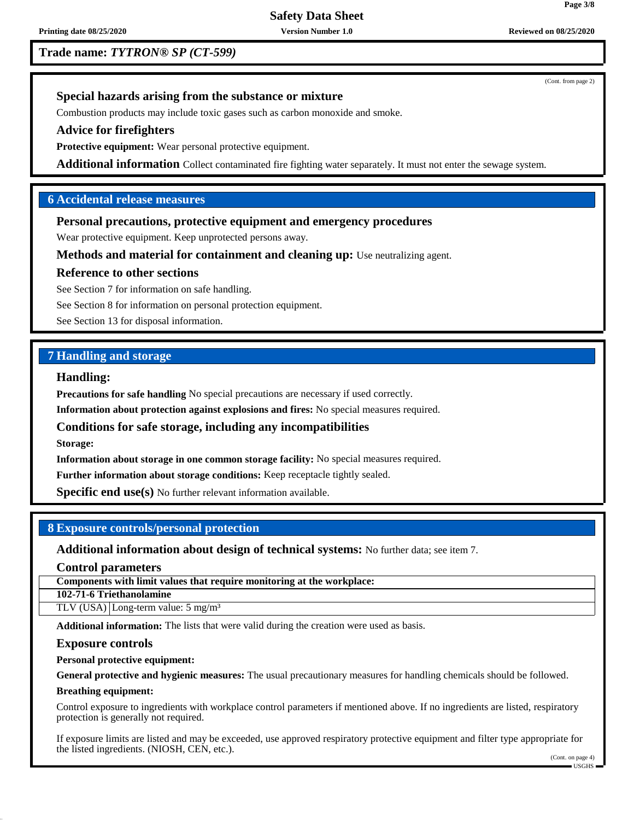# **Trade name:** *TYTRON® SP (CT-599)*

**Printing date 08/25/2020 Version Number 1.0 Reviewed on 08/25/2020**

(Cont. from page 2)

### **Special hazards arising from the substance or mixture**

Combustion products may include toxic gases such as carbon monoxide and smoke.

### **Advice for firefighters**

**Protective equipment:** Wear personal protective equipment.

**Additional information** Collect contaminated fire fighting water separately. It must not enter the sewage system.

# **6 Accidental release measures**

### **Personal precautions, protective equipment and emergency procedures**

Wear protective equipment. Keep unprotected persons away.

**Methods and material for containment and cleaning up:** Use neutralizing agent.

### **Reference to other sections**

See Section 7 for information on safe handling.

See Section 8 for information on personal protection equipment.

See Section 13 for disposal information.

# **7 Handling and storage**

### **Handling:**

**Precautions for safe handling** No special precautions are necessary if used correctly.

**Information about protection against explosions and fires:** No special measures required.

**Conditions for safe storage, including any incompatibilities**

**Storage:**

**Information about storage in one common storage facility:** No special measures required.

**Further information about storage conditions:** Keep receptacle tightly sealed.

**Specific end use(s)** No further relevant information available.

### **8 Exposure controls/personal protection**

**Additional information about design of technical systems:** No further data; see item 7.

**Control parameters**

**Components with limit values that require monitoring at the workplace:**

**102-71-6 Triethanolamine**

TLV (USA) Long-term value: 5 mg/m<sup>3</sup>

**Additional information:** The lists that were valid during the creation were used as basis.

### **Exposure controls**

**Personal protective equipment:**

**General protective and hygienic measures:** The usual precautionary measures for handling chemicals should be followed.

#### **Breathing equipment:**

Control exposure to ingredients with workplace control parameters if mentioned above. If no ingredients are listed, respiratory protection is generally not required.

If exposure limits are listed and may be exceeded, use approved respiratory protective equipment and filter type appropriate for the listed ingredients. (NIOSH, CEN, etc.).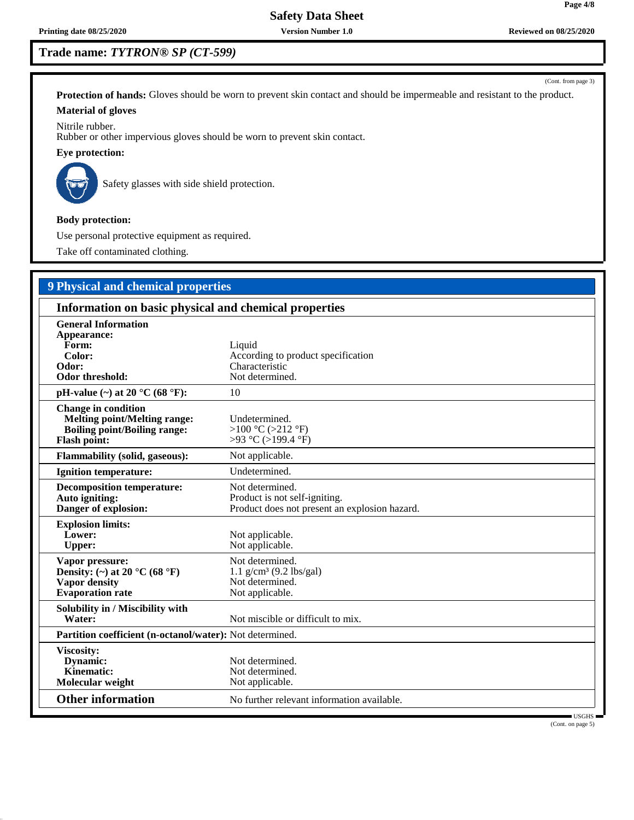# **Trade name:** *TYTRON® SP (CT-599)*

**Protection of hands:** Gloves should be worn to prevent skin contact and should be impermeable and resistant to the product. **Material of gloves**

Nitrile rubber.

Rubber or other impervious gloves should be worn to prevent skin contact.

**Eye protection:**



Safety glasses with side shield protection.

**Body protection:**

Use personal protective equipment as required.

Take off contaminated clothing.

# **9 Physical and chemical properties Information on basic physical and chemical properties General Information Appearance: Form:** Liquid Color: Liquid Color: **Color:** According to product specification<br> **Characteristic** Characteristic Characteristic<br>Not determined. **Odor threshold: pH-value (~) at 20 °C (68 °F):** 10 **Change in condition Melting point/Melting range:** Undetermined.<br> **Boiling point/Boiling range:** >100 °C (>212 °F) Boiling point/Boiling range:<br> **Flash point: Flash point:** >93 °C (>199.4 °F) **Flammability (solid, gaseous):** Not applicable. **Ignition temperature:** Undetermined. **Decomposition temperature:** Not determined.<br> **Auto igniting:** Product is not se **Auto igniting:** Product is not self-igniting.<br> **Danger of explosion:** Product does not present an Product does not present an explosion hazard. **Explosion limits:** Lower: Not applicable. Upper: Not applicable. **Vapor pressure:** Not determined.<br> **Density:** (~) at 20 °C (68 °F) 1.1 g/cm<sup>3</sup> (9.2 lbs/gal) **Density:** (~) at 20  $^{\circ}$ C (68  $^{\circ}$ F)<br>Vapor density Not determined.<br>Not applicable. **Evaporation rate Solubility in / Miscibility with** Not miscible or difficult to mix. **Partition coefficient (n-octanol/water):** Not determined. **Viscosity: Dynamic:** Not determined.<br> **Kinematic:** Not determined. Not determined.<br>Not applicable. **Molecular weight**

**Other information** No further relevant information available.

 USGHS (Cont. on page 5)

(Cont. from page 3)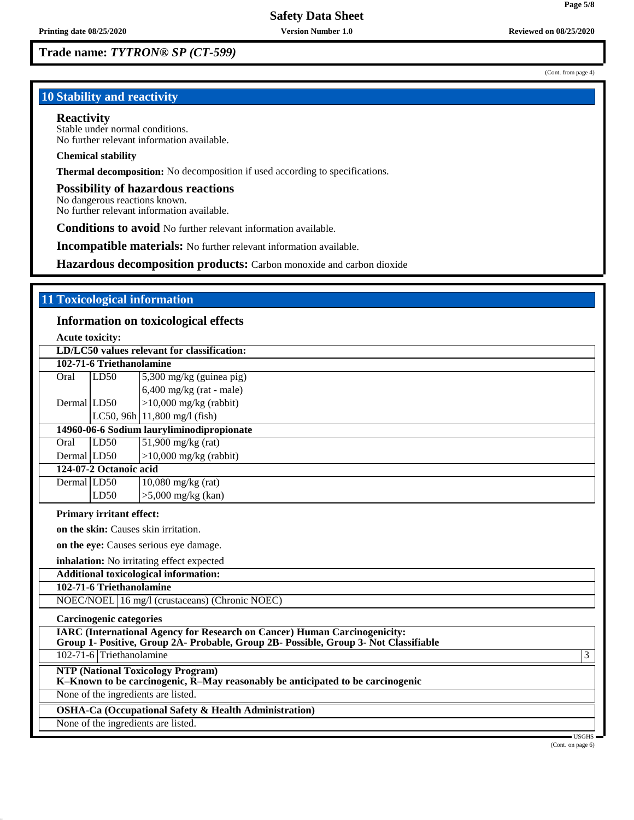(Cont. from page 4)

**Page 5/8**

# **10 Stability and reactivity**

#### **Reactivity**

Stable under normal conditions. No further relevant information available.

#### **Chemical stability**

**Thermal decomposition:** No decomposition if used according to specifications.

#### **Possibility of hazardous reactions**

No dangerous reactions known. No further relevant information available.

**Conditions to avoid** No further relevant information available.

**Incompatible materials:** No further relevant information available.

**Hazardous decomposition products:** Carbon monoxide and carbon dioxide

# **11 Toxicological information**

### **Information on toxicological effects**

**Acute toxicity:**

|                                                                  | LD/LC50 values relevant for classification: |                                                                                                                            |  |  |  |  |
|------------------------------------------------------------------|---------------------------------------------|----------------------------------------------------------------------------------------------------------------------------|--|--|--|--|
| 102-71-6 Triethanolamine                                         |                                             |                                                                                                                            |  |  |  |  |
| Oral                                                             | LD50                                        | $5,300$ mg/kg (guinea pig)                                                                                                 |  |  |  |  |
|                                                                  |                                             | $6,400$ mg/kg (rat - male)                                                                                                 |  |  |  |  |
| Dermal LD50                                                      |                                             | $>10,000$ mg/kg (rabbit)                                                                                                   |  |  |  |  |
|                                                                  |                                             | LC50, 96h $ 11,800 \text{ mg/l}$ (fish)                                                                                    |  |  |  |  |
|                                                                  | 14960-06-6 Sodium lauryliminodipropionate   |                                                                                                                            |  |  |  |  |
| Oral                                                             | LD50                                        | $51,900$ mg/kg (rat)                                                                                                       |  |  |  |  |
| Dermal LD50                                                      |                                             | $>10,000$ mg/kg (rabbit)                                                                                                   |  |  |  |  |
|                                                                  | 124-07-2 Octanoic acid                      |                                                                                                                            |  |  |  |  |
| Dermal LD50                                                      |                                             | $10,080$ mg/kg (rat)                                                                                                       |  |  |  |  |
|                                                                  | LD50                                        | $>5,000$ mg/kg (kan)                                                                                                       |  |  |  |  |
|                                                                  | <b>Primary irritant effect:</b>             |                                                                                                                            |  |  |  |  |
|                                                                  |                                             | on the skin: Causes skin irritation.                                                                                       |  |  |  |  |
|                                                                  |                                             | on the eye: Causes serious eye damage.                                                                                     |  |  |  |  |
|                                                                  |                                             | inhalation: No irritating effect expected                                                                                  |  |  |  |  |
|                                                                  |                                             | Additional toxicological information:                                                                                      |  |  |  |  |
|                                                                  | 102-71-6 Triethanolamine                    |                                                                                                                            |  |  |  |  |
|                                                                  |                                             | NOEC/NOEL 16 mg/l (crustaceans) (Chronic NOEC)                                                                             |  |  |  |  |
|                                                                  | <b>Carcinogenic categories</b>              |                                                                                                                            |  |  |  |  |
|                                                                  |                                             | <b>IARC</b> (International Agency for Research on Cancer) Human Carcinogenicity:                                           |  |  |  |  |
|                                                                  |                                             | Group 1- Positive, Group 2A- Probable, Group 2B- Possible, Group 3- Not Classifiable                                       |  |  |  |  |
|                                                                  | 102-71-6 Triethanolamine                    | 3                                                                                                                          |  |  |  |  |
|                                                                  |                                             | <b>NTP (National Toxicology Program)</b><br>K-Known to be carcinogenic, R-May reasonably be anticipated to be carcinogenic |  |  |  |  |
| None of the ingredients are listed.                              |                                             |                                                                                                                            |  |  |  |  |
| <b>OSHA-Ca (Occupational Safety &amp; Health Administration)</b> |                                             |                                                                                                                            |  |  |  |  |
| None of the ingredients are listed.                              |                                             |                                                                                                                            |  |  |  |  |
|                                                                  |                                             | $\blacksquare$ USGHS $\blacksquare$                                                                                        |  |  |  |  |

(Cont. on page 6)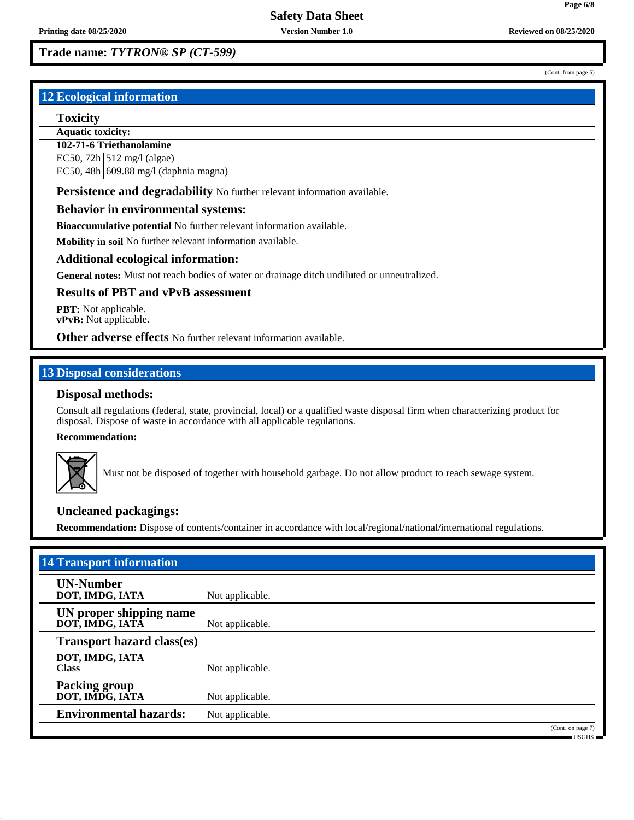(Cont. from page 5)

**Page 6/8**

# **12 Ecological information**

#### **Toxicity**

**Aquatic toxicity:**

**102-71-6 Triethanolamine**

EC50, 72h  $\vert$  512 mg/l (algae)

EC50, 48h 609.88 mg/l (daphnia magna)

**Persistence and degradability** No further relevant information available.

### **Behavior in environmental systems:**

**Bioaccumulative potential** No further relevant information available.

**Mobility in soil** No further relevant information available.

### **Additional ecological information:**

**General notes:** Must not reach bodies of water or drainage ditch undiluted or unneutralized.

### **Results of PBT and vPvB assessment**

**PBT:** Not applicable. **vPvB:** Not applicable.

### **Other adverse effects** No further relevant information available.

### **13 Disposal considerations**

### **Disposal methods:**

Consult all regulations (federal, state, provincial, local) or a qualified waste disposal firm when characterizing product for disposal. Dispose of waste in accordance with all applicable regulations.

#### **Recommendation:**



Must not be disposed of together with household garbage. Do not allow product to reach sewage system.

### **Uncleaned packagings:**

**Recommendation:** Dispose of contents/container in accordance with local/regional/national/international regulations.

| <b>14 Transport information</b>            |                 |                   |  |
|--------------------------------------------|-----------------|-------------------|--|
| <b>UN-Number</b><br>DOT, IMDG, IATA        | Not applicable. |                   |  |
| UN proper shipping name<br>DOT, IMDG, IATA | Not applicable. |                   |  |
| <b>Transport hazard class(es)</b>          |                 |                   |  |
| DOT, IMDG, IATA<br><b>Class</b>            | Not applicable. |                   |  |
| <b>Packing group</b><br>DOT, IMDG, IATA    | Not applicable. |                   |  |
| <b>Environmental hazards:</b>              | Not applicable. |                   |  |
|                                            |                 | (Cont. on page 7) |  |

USGHS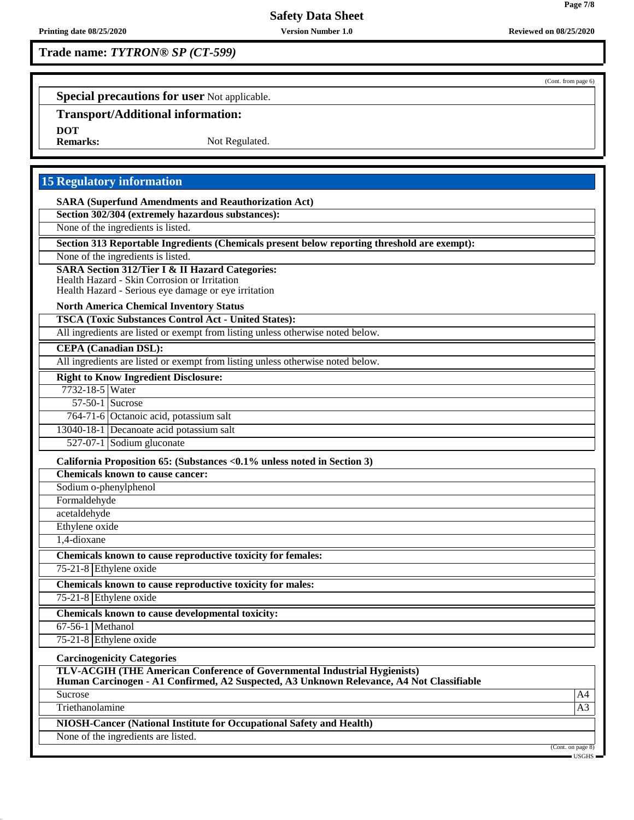# **Trade name:** *TYTRON® SP (CT-599)*

(Cont. from page 6)

**Page 7/8**

**Special precautions for user** Not applicable.

# **Transport/Additional information:**

**DOT**

Not Regulated.

# **15 Regulatory information**

**SARA (Superfund Amendments and Reauthorization Act)**

**Section 302/304 (extremely hazardous substances):**

None of the ingredients is listed.

**Section 313 Reportable Ingredients (Chemicals present below reporting threshold are exempt):**

None of the ingredients is listed.

**SARA Section 312/Tier I & II Hazard Categories:**

Health Hazard - Skin Corrosion or Irritation

Health Hazard - Serious eye damage or eye irritation

#### **North America Chemical Inventory Status**

**TSCA (Toxic Substances Control Act - United States):**

All ingredients are listed or exempt from listing unless otherwise noted below.

#### **CEPA (Canadian DSL):**

All ingredients are listed or exempt from listing unless otherwise noted below.

### **Right to Know Ingredient Disclosure:**

7732-18-5 Water 57-50-1 Sucrose

764-71-6 Octanoic acid, potassium salt

13040-18-1 Decanoate acid potassium salt

527-07-1 Sodium gluconate

**California Proposition 65: (Substances <0.1% unless noted in Section 3)**

**Chemicals known to cause cancer:**

Sodium o-phenylphenol

Formaldehyde acetaldehyde

Ethylene oxide

1,4-dioxane

**Chemicals known to cause reproductive toxicity for females:**

75-21-8 Ethylene oxide

**Chemicals known to cause reproductive toxicity for males:**

75-21-8 Ethylene oxide

**Chemicals known to cause developmental toxicity:**

67-56-1 Methanol

75-21-8 Ethylene oxide

**Carcinogenicity Categories**

**TLV-ACGIH (THE American Conference of Governmental Industrial Hygienists)**

**Human Carcinogen - A1 Confirmed, A2 Suspected, A3 Unknown Relevance, A4 Not Classifiable**

Sucrose A4

Triethanolamine and the state of the state of the state of the state of the state of the state of the state of the state of the state of the state of the state of the state of the state of the state of the state of the sta

**NIOSH-Cancer (National Institute for Occupational Safety and Health)**

None of the ingredients are listed.

(Cont. on page 8)